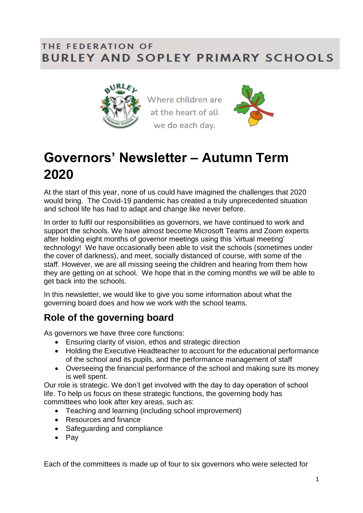#### THE FEDERATION OF **BURLEY AND SOPLEY PRIMARY SCHOOLS**



Where children are at the heart of all we do each day.



# **Governors' Newsletter – Autumn Term 2020**

At the start of this year, none of us could have imagined the challenges that 2020 would bring. The Covid-19 pandemic has created a truly unprecedented situation and school life has had to adapt and change like never before.

In order to fulfil our responsibilities as governors, we have continued to work and support the schools. We have almost become Microsoft Teams and Zoom experts after holding eight months of governor meetings using this 'virtual meeting' technology! We have occasionally been able to visit the schools (sometimes under the cover of darkness), and meet, socially distanced of course, with some of the staff. However, we are all missing seeing the children and hearing from them how they are getting on at school. We hope that in the coming months we will be able to get back into the schools.

In this newsletter, we would like to give you some information about what the governing board does and how we work with the school teams.

## **Role of the governing board**

As governors we have three core functions:

- Ensuring clarity of vision, ethos and strategic direction
- Holding the Executive Headteacher to account for the educational performance of the school and its pupils, and the performance management of staff
- Overseeing the financial performance of the school and making sure its money is well spent.

Our role is strategic. We don't get involved with the day to day operation of school life. To help us focus on these strategic functions, the governing body has committees who look after key areas, such as:

- Teaching and learning (including school improvement)
- Resources and finance
- Safeguarding and compliance
- $\bullet$  Pav

Each of the committees is made up of four to six governors who were selected for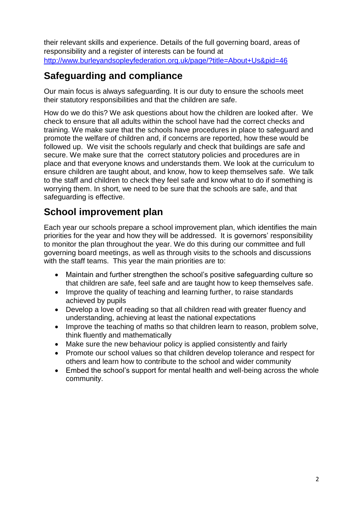their relevant skills and experience. Details of the full governing board, areas of responsibility and a register of interests can be found at <http://www.burleyandsopleyfederation.org.uk/page/?title=About+Us&pid=46>

#### **Safeguarding and compliance**

Our main focus is always safeguarding. It is our duty to ensure the schools meet their statutory responsibilities and that the children are safe.

How do we do this? We ask questions about how the children are looked after. We check to ensure that all adults within the school have had the correct checks and training. We make sure that the schools have procedures in place to safeguard and promote the welfare of children and, if concerns are reported, how these would be followed up. We visit the schools regularly and check that buildings are safe and secure. We make sure that the correct statutory policies and procedures are in place and that everyone knows and understands them. We look at the curriculum to ensure children are taught about, and know, how to keep themselves safe. We talk to the staff and children to check they feel safe and know what to do if something is worrying them. In short, we need to be sure that the schools are safe, and that safeguarding is effective.

#### **School improvement plan**

Each year our schools prepare a school improvement plan, which identifies the main priorities for the year and how they will be addressed. It is governors' responsibility to monitor the plan throughout the year. We do this during our committee and full governing board meetings, as well as through visits to the schools and discussions with the staff teams. This year the main priorities are to:

- Maintain and further strengthen the school's positive safeguarding culture so that children are safe, feel safe and are taught how to keep themselves safe.
- Improve the quality of teaching and learning further, to raise standards achieved by pupils
- Develop a love of reading so that all children read with greater fluency and understanding, achieving at least the national expectations
- Improve the teaching of maths so that children learn to reason, problem solve, think fluently and mathematically
- Make sure the new behaviour policy is applied consistently and fairly
- Promote our school values so that children develop tolerance and respect for others and learn how to contribute to the school and wider community
- Embed the school's support for mental health and well-being across the whole community.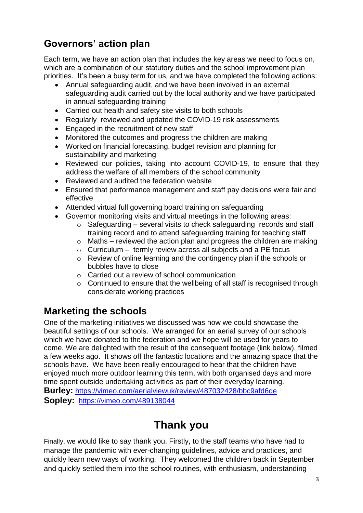## **Governors' action plan**

Each term, we have an action plan that includes the key areas we need to focus on, which are a combination of our statutory duties and the school improvement plan priorities. It's been a busy term for us, and we have completed the following actions:

- Annual safeguarding audit, and we have been involved in an external safeguarding audit carried out by the local authority and we have participated in annual safeguarding training
- Carried out health and safety site visits to both schools
- Regularly reviewed and updated the COVID-19 risk assessments
- Engaged in the recruitment of new staff
- Monitored the outcomes and progress the children are making
- Worked on financial forecasting, budget revision and planning for sustainability and marketing
- Reviewed our policies, taking into account COVID-19, to ensure that they address the welfare of all members of the school community
- Reviewed and audited the federation website
- Ensured that performance management and staff pay decisions were fair and effective
- Attended virtual full governing board training on safeguarding
- Governor monitoring visits and virtual meetings in the following areas:
	- $\circ$  Safeguarding several visits to check safeguarding records and staff training record and to attend safeguarding training for teaching staff
	- $\circ$  Maths reviewed the action plan and progress the children are making
	- $\circ$  Curriculum termly review across all subjects and a PE focus
	- o Review of online learning and the contingency plan if the schools or bubbles have to close
	- o Carried out a review of school communication
	- $\circ$  Continued to ensure that the wellbeing of all staff is recognised through considerate working practices

#### **Marketing the schools**

One of the marketing initiatives we discussed was how we could showcase the beautiful settings of our schools. We arranged for an aerial survey of our schools which we have donated to the federation and we hope will be used for years to come. We are delighted with the result of the consequent footage (link below), filmed a few weeks ago. It shows off the fantastic locations and the amazing space that the schools have. We have been really encouraged to hear that the children have enjoyed much more outdoor learning this term, with both organised days and more time spent outside undertaking activities as part of their everyday learning. **Burley:** <https://vimeo.com/aerialviewuk/review/487032428/bbc9afd6de>

**Sopley:** <https://vimeo.com/489138044>

# **Thank you**

Finally, we would like to say thank you. Firstly, to the staff teams who have had to manage the pandemic with ever-changing guidelines, advice and practices, and quickly learn new ways of working. They welcomed the children back in September and quickly settled them into the school routines, with enthusiasm, understanding